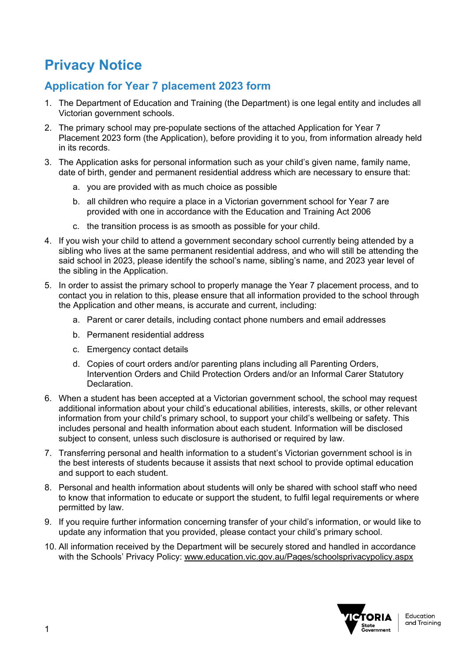### **Privacy Notice**

### **Application for Year 7 placement 2023 form**

- 1. The Department of Education and Training (the Department) is one legal entity and includes all Victorian government schools.
- 2. The primary school may pre-populate sections of the attached Application for Year 7 Placement 2023 form (the Application), before providing it to you, from information already held in its records.
- 3. The Application asks for personal information such as your child's given name, family name, date of birth, gender and permanent residential address which are necessary to ensure that:
	- a. you are provided with as much choice as possible
	- b. all children who require a place in a Victorian government school for Year 7 are provided with one in accordance with the Education and Training Act 2006
	- c. the transition process is as smooth as possible for your child.
- 4. If you wish your child to attend a government secondary school currently being attended by a sibling who lives at the same permanent residential address, and who will still be attending the said school in 2023, please identify the school's name, sibling's name, and 2023 year level of the sibling in the Application.
- 5. In order to assist the primary school to properly manage the Year 7 placement process, and to contact you in relation to this, please ensure that all information provided to the school through the Application and other means, is accurate and current, including:
	- a. Parent or carer details, including contact phone numbers and email addresses
	- b. Permanent residential address
	- c. Emergency contact details
	- d. Copies of court orders and/or parenting plans including all Parenting Orders, Intervention Orders and Child Protection Orders and/or an Informal Carer Statutory Declaration.
- 6. When a student has been accepted at a Victorian government school, the school may request additional information about your child's educational abilities, interests, skills, or other relevant information from your child's primary school, to support your child's wellbeing or safety. This includes personal and health information about each student. Information will be disclosed subject to consent, unless such disclosure is authorised or required by law.
- 7. Transferring personal and health information to a student's Victorian government school is in the best interests of students because it assists that next school to provide optimal education and support to each student.
- 8. Personal and health information about students will only be shared with school staff who need to know that information to educate or support the student, to fulfil legal requirements or where permitted by law.
- 9. If you require further information concerning transfer of your child's information, or would like to update any information that you provided, please contact your child's primary school.
- 10. All information received by the Department will be securely stored and handled in accordance with the Schools' Privacy Policy: [www.education.vic.gov.au/Pages/schoolsprivacypolicy.aspx](http://www.education.vic.gov.au/Pages/schoolsprivacypolicy.aspx)

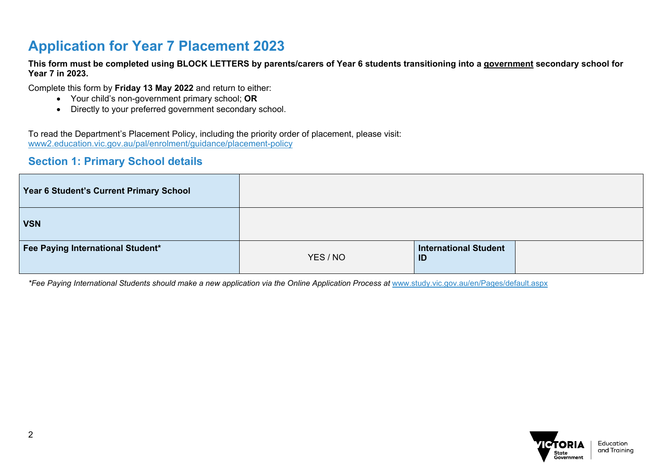### **Application for Year 7 Placement 2023**

**This form must be completed using BLOCK LETTERS by parents/carers of Year 6 students transitioning into a government secondary school for Year 7 in 2023.** 

Complete this form by **Friday 13 May 2022** and return to either:

- Your child's non-government primary school; **OR**
- Directly to your preferred government secondary school.

To read the Department's Placement Policy, including the priority order of placement, please visit: [www2.education.vic.gov.au/pal/enrolment/guidance/placement-policy](https://www2.education.vic.gov.au/pal/enrolment/guidance/placement-policy) 

#### **Section 1: Primary School details**

| Year 6 Student's Current Primary School |          |                                    |  |
|-----------------------------------------|----------|------------------------------------|--|
| <b>VSN</b>                              |          |                                    |  |
| Fee Paying International Student*       | YES / NO | <b>International Student</b><br>ID |  |

*\*Fee Paying International Students should make a new application via the Online Application Process at* [www.study.vic.gov.au/en/Pages/default.aspx](https://study.vic.gov.au/en/Pages/default.aspx)

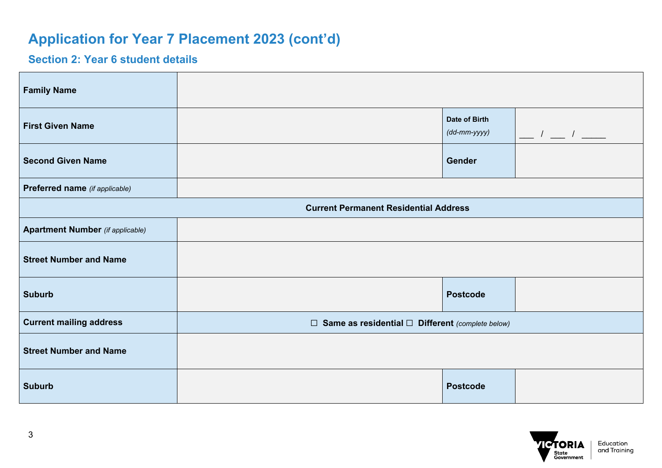#### **Section 2: Year 6 student details**

| <b>Family Name</b>                      |                                                              |                                               |                                           |
|-----------------------------------------|--------------------------------------------------------------|-----------------------------------------------|-------------------------------------------|
| <b>First Given Name</b>                 |                                                              | Date of Birth<br>$(dd\text{-}mm\text{-}yyyy)$ | $\frac{1}{\sqrt{2}}$ $\frac{1}{\sqrt{2}}$ |
| <b>Second Given Name</b>                |                                                              | Gender                                        |                                           |
| Preferred name (if applicable)          |                                                              |                                               |                                           |
|                                         | <b>Current Permanent Residential Address</b>                 |                                               |                                           |
| <b>Apartment Number</b> (if applicable) |                                                              |                                               |                                           |
| <b>Street Number and Name</b>           |                                                              |                                               |                                           |
| <b>Suburb</b>                           |                                                              | <b>Postcode</b>                               |                                           |
| <b>Current mailing address</b>          | $\Box$ Same as residential $\Box$ Different (complete below) |                                               |                                           |
| <b>Street Number and Name</b>           |                                                              |                                               |                                           |
| <b>Suburb</b>                           |                                                              | <b>Postcode</b>                               |                                           |

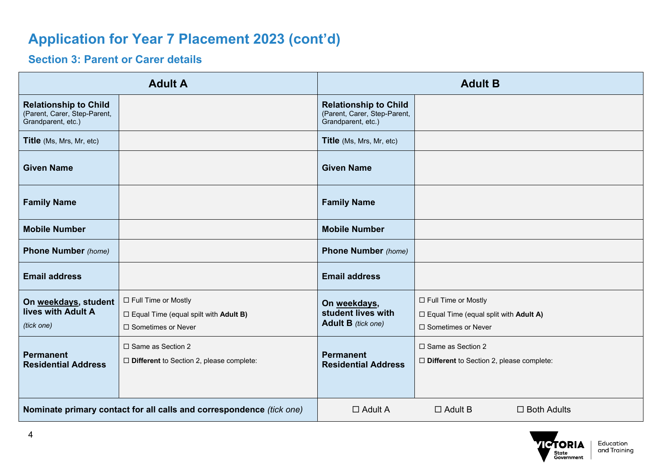#### **Section 3: Parent or Carer details**

|                                                                                    | <b>Adult A</b><br><b>Adult B</b>                                                                     |                                                                                    |                                                                                                  |
|------------------------------------------------------------------------------------|------------------------------------------------------------------------------------------------------|------------------------------------------------------------------------------------|--------------------------------------------------------------------------------------------------|
| <b>Relationship to Child</b><br>(Parent, Carer, Step-Parent,<br>Grandparent, etc.) |                                                                                                      | <b>Relationship to Child</b><br>(Parent, Carer, Step-Parent,<br>Grandparent, etc.) |                                                                                                  |
| Title (Ms, Mrs, Mr, etc)                                                           |                                                                                                      | <b>Title</b> (Ms, Mrs, Mr, etc)                                                    |                                                                                                  |
| <b>Given Name</b>                                                                  |                                                                                                      | <b>Given Name</b>                                                                  |                                                                                                  |
| <b>Family Name</b>                                                                 |                                                                                                      | <b>Family Name</b>                                                                 |                                                                                                  |
| <b>Mobile Number</b>                                                               |                                                                                                      | <b>Mobile Number</b>                                                               |                                                                                                  |
| <b>Phone Number</b> (home)                                                         |                                                                                                      | <b>Phone Number</b> (home)                                                         |                                                                                                  |
| <b>Email address</b>                                                               |                                                                                                      | <b>Email address</b>                                                               |                                                                                                  |
| On weekdays, student<br>lives with Adult A<br>(tick one)                           | □ Full Time or Mostly<br>$\Box$ Equal Time (equal spilt with <b>Adult B)</b><br>□ Sometimes or Never | On weekdays,<br>student lives with<br><b>Adult B</b> (tick one)                    | □ Full Time or Mostly<br>$\square$ Equal Time (equal split with Adult A)<br>□ Sometimes or Never |
| Permanent<br><b>Residential Address</b>                                            | □ Same as Section 2<br>$\Box$ Different to Section 2, please complete:                               | <b>Permanent</b><br><b>Residential Address</b>                                     | □ Same as Section 2<br>$\Box$ Different to Section 2, please complete:                           |
| Nominate primary contact for all calls and correspondence (tick one)               |                                                                                                      | $\Box$ Adult A                                                                     | $\Box$ Adult B<br>$\Box$ Both Adults                                                             |

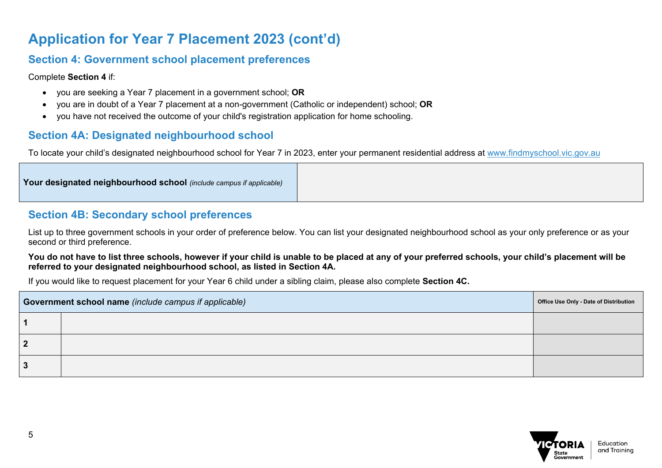#### **Section 4: Government school placement preferences**

Complete **Section 4** if:

- you are seeking a Year 7 placement in a government school; **OR**
- you are in doubt of a Year 7 placement at a non-government (Catholic or independent) school; **OR**
- you have not received the outcome of your child's registration application for home schooling.

#### **Section 4A: Designated neighbourhood school**

To locate your child's designated neighbourhood school for Year 7 in 2023, enter your permanent residential address at [www.findmyschool.vic.gov.au](http://www.findmyschool.vic.gov.au/)

|--|

#### **Section 4B: Secondary school preferences**

List up to three government schools in your order of preference below. You can list your designated neighbourhood school as your only preference or as your second or third preference.

#### **You do not have to list three schools, however if your child is unable to be placed at any of your preferred schools, your child's placement will be referred to your designated neighbourhood school, as listed in Section 4A.**

If you would like to request placement for your Year 6 child under a sibling claim, please also complete **Section 4C.**

| Government school name (include campus if applicable) | Office Use Only - Date of Distribution |  |
|-------------------------------------------------------|----------------------------------------|--|
|                                                       |                                        |  |
| - 7                                                   |                                        |  |
|                                                       |                                        |  |

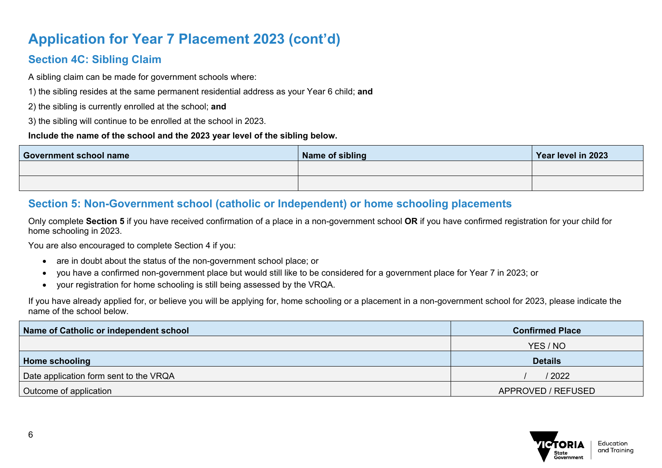### **Section 4C: Sibling Claim**

A sibling claim can be made for government schools where:

1) the sibling resides at the same permanent residential address as your Year 6 child; **and**

2) the sibling is currently enrolled at the school; **and**

3) the sibling will continue to be enrolled at the school in 2023.

#### **Include the name of the school and the 2023 year level of the sibling below.**

| <b>Government school name</b> | Name of sibling | Year level in 2023 |
|-------------------------------|-----------------|--------------------|
|                               |                 |                    |
|                               |                 |                    |

#### **Section 5: Non-Government school (catholic or Independent) or home schooling placements**

Only complete **Section 5** if you have received confirmation of a place in a non-government school **OR** if you have confirmed registration for your child for home schooling in 2023.

You are also encouraged to complete Section 4 if you:

- are in doubt about the status of the non-government school place; or
- you have a confirmed non-government place but would still like to be considered for a government place for Year 7 in 2023; or
- your registration for home schooling is still being assessed by the VRQA.

If you have already applied for, or believe you will be applying for, home schooling or a placement in a non-government school for 2023, please indicate the name of the school below.

| Name of Catholic or independent school | <b>Confirmed Place</b> |
|----------------------------------------|------------------------|
|                                        | YES / NO               |
| Home schooling                         | <b>Details</b>         |
| Date application form sent to the VRQA | / 2022                 |
| Outcome of application                 | APPROVED / REFUSED     |